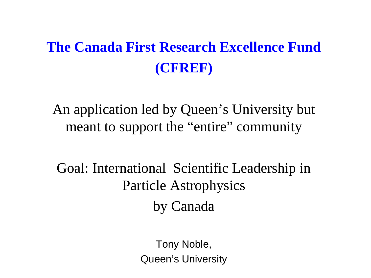# **The Canada First Research Excellence Fund (CFREF)**

An application led by Queen's University but meant to support the "entire" community

Goal: International Scientific Leadership in Particle Astrophysics by Canada

> Tony Noble, Queen's University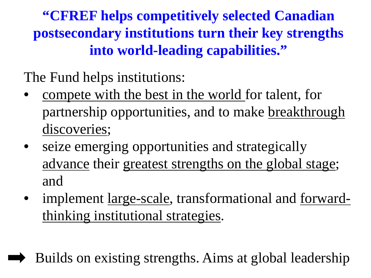**"CFREF helps competitively selected Canadian postsecondary institutions turn their key strengths into world-leading capabilities."** 

The Fund helps institutions:

- compete with the best in the world for talent, for partnership opportunities, and to make breakthrough discoveries;
- seize emerging opportunities and strategically advance their greatest strengths on the global stage; and
- implement <u>large-scale</u>, transformational and forwardthinking institutional strategies.

Builds on existing strengths. Aims at global leadership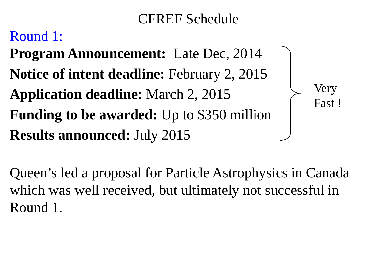## CFREF Schedule

Very

Fast !

## Round 1:

**Program Announcement:** Late Dec, 2014 **Notice of intent deadline:** February 2, 2015 **Application deadline:** March 2, 2015 **Funding to be awarded:** Up to \$350 million **Results announced:** July 2015

Queen's led a proposal for Particle Astrophysics in Canada which was well received, but ultimately not successful in Round 1.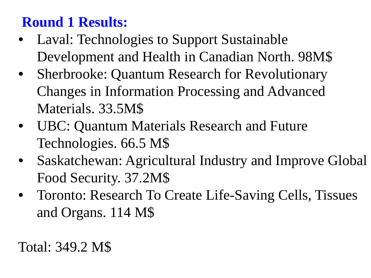## **Round 1 Results:**

- Laval: Technologies to Support Sustainable Development and Health in Canadian North. 98M\$
- Sherbrooke: Quantum Research for Revolutionary Changes in Information Processing and Advanced Materials. 33.5M\$
- UBC: Quantum Materials Research and Future Technologies. 66.5 M\$
- Saskatchewan: Agricultural Industry and Improve Global Food Security. 37.2M\$
- Toronto: Research To Create Life-Saving Cells, Tissues and Organs. 114 M\$

Total: 349.2 M\$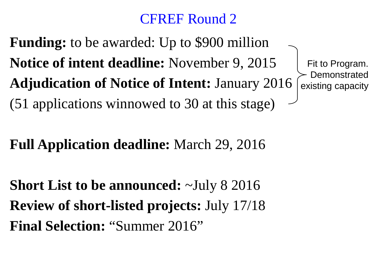## CFREF Round 2

**Funding:** to be awarded: Up to \$900 million **Notice of intent deadline:** November 9, 2015 **Adjudication of Notice of Intent:** January 2016 (51 applications winnowed to 30 at this stage)

## **Full Application deadline:** March 29, 2016

**Short List to be announced:** ~July 8 2016 **Review of short-listed projects:** July 17/18 **Final Selection:** "Summer 2016"

Fit to Program. **Demonstrated** existing capacity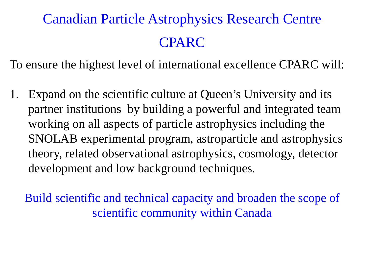# Canadian Particle Astrophysics Research Centre CPARC

To ensure the highest level of international excellence CPARC will:

1. Expand on the scientific culture at Queen's University and its partner institutions by building a powerful and integrated team working on all aspects of particle astrophysics including the SNOLAB experimental program, astroparticle and astrophysics theory, related observational astrophysics, cosmology, detector development and low background techniques.

Build scientific and technical capacity and broaden the scope of scientific community within Canada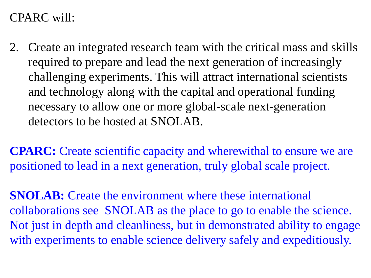2. Create an integrated research team with the critical mass and skills required to prepare and lead the next generation of increasingly challenging experiments. This will attract international scientists and technology along with the capital and operational funding necessary to allow one or more global-scale next-generation detectors to be hosted at SNOLAB.

**CPARC:** Create scientific capacity and wherewithal to ensure we are positioned to lead in a next generation, truly global scale project.

**SNOLAB:** Create the environment where these international collaborations see SNOLAB as the place to go to enable the science. Not just in depth and cleanliness, but in demonstrated ability to engage with experiments to enable science delivery safely and expeditiously.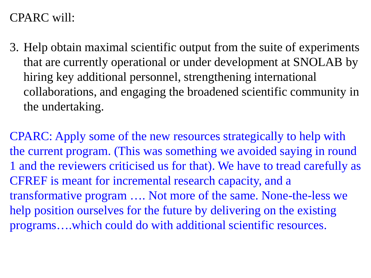3. Help obtain maximal scientific output from the suite of experiments that are currently operational or under development at SNOLAB by hiring key additional personnel, strengthening international collaborations, and engaging the broadened scientific community in the undertaking.

CPARC: Apply some of the new resources strategically to help with the current program. (This was something we avoided saying in round 1 and the reviewers criticised us for that). We have to tread carefully as CFREF is meant for incremental research capacity, and a transformative program …. Not more of the same. None-the-less we help position ourselves for the future by delivering on the existing programs….which could do with additional scientific resources.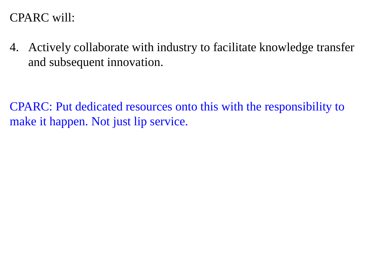4. Actively collaborate with industry to facilitate knowledge transfer and subsequent innovation.

CPARC: Put dedicated resources onto this with the responsibility to make it happen. Not just lip service.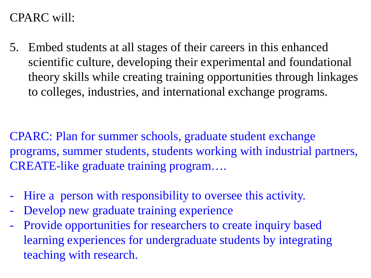5. Embed students at all stages of their careers in this enhanced scientific culture, developing their experimental and foundational theory skills while creating training opportunities through linkages to colleges, industries, and international exchange programs.

CPARC: Plan for summer schools, graduate student exchange programs, summer students, students working with industrial partners, CREATE-like graduate training program….

- Hire a person with responsibility to oversee this activity.
- Develop new graduate training experience
- Provide opportunities for researchers to create inquiry based learning experiences for undergraduate students by integrating teaching with research.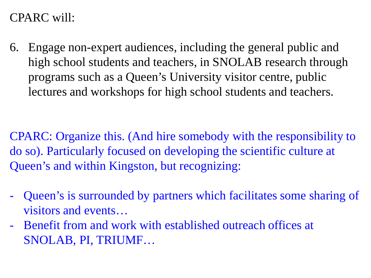6. Engage non-expert audiences, including the general public and high school students and teachers, in SNOLAB research through programs such as a Queen's University visitor centre, public lectures and workshops for high school students and teachers.

CPARC: Organize this. (And hire somebody with the responsibility to do so). Particularly focused on developing the scientific culture at Queen's and within Kingston, but recognizing:

- Queen's is surrounded by partners which facilitates some sharing of visitors and events…
- Benefit from and work with established outreach offices at SNOLAB, PI, TRIUMF…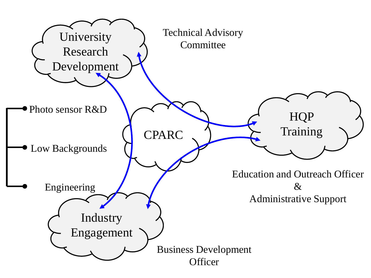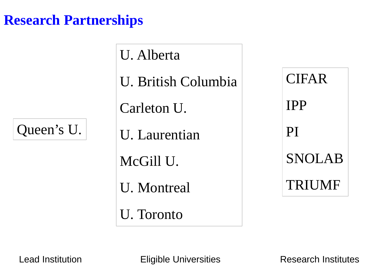### **Research Partnerships**

Queen's U.

U. Alberta U. British Columbia Carleton U. U. Laurentian McGill U. U. Montreal U. Toronto

CIFAR IPP PI SNOLAB TRIUMF

Lead Institution **Eligible Universities** Research Institutes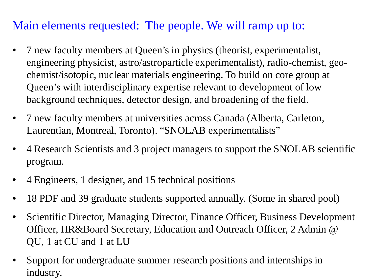### Main elements requested: The people. We will ramp up to:

- 7 new faculty members at Queen's in physics (theorist, experimentalist, engineering physicist, astro/astroparticle experimentalist), radio-chemist, geochemist/isotopic, nuclear materials engineering. To build on core group at Queen's with interdisciplinary expertise relevant to development of low background techniques, detector design, and broadening of the field.
- 7 new faculty members at universities across Canada (Alberta, Carleton, Laurentian, Montreal, Toronto). "SNOLAB experimentalists"
- 4 Research Scientists and 3 project managers to support the SNOLAB scientific program.
- 4 Engineers, 1 designer, and 15 technical positions
- 18 PDF and 39 graduate students supported annually. (Some in shared pool)
- Scientific Director, Managing Director, Finance Officer, Business Development Officer, HR&Board Secretary, Education and Outreach Officer, 2 Admin @ QU, 1 at CU and 1 at LU
- Support for undergraduate summer research positions and internships in industry.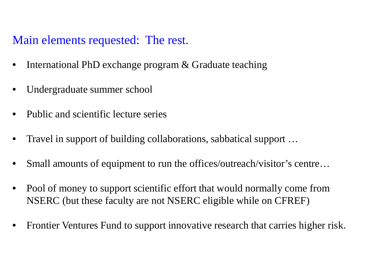### Main elements requested: The rest.

- International PhD exchange program & Graduate teaching
- Undergraduate summer school
- Public and scientific lecture series
- Travel in support of building collaborations, sabbatical support …
- Small amounts of equipment to run the offices/outreach/visitor's centre...
- Pool of money to support scientific effort that would normally come from NSERC (but these faculty are not NSERC eligible while on CFREF)
- Frontier Ventures Fund to support innovative research that carries higher risk.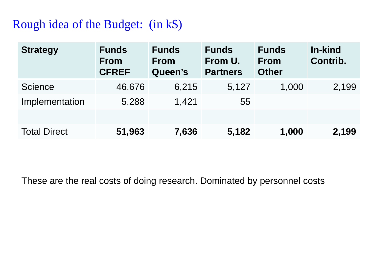### Rough idea of the Budget: (in k\$)

| <b>Strategy</b>     | <b>Funds</b><br><b>From</b><br><b>CFREF</b> | <b>Funds</b><br><b>From</b><br>Queen's | <b>Funds</b><br>From U.<br><b>Partners</b> | <b>Funds</b><br><b>From</b><br><b>Other</b> | In-kind<br>Contrib. |
|---------------------|---------------------------------------------|----------------------------------------|--------------------------------------------|---------------------------------------------|---------------------|
| <b>Science</b>      | 46,676                                      | 6,215                                  | 5,127                                      | 1,000                                       | 2,199               |
| Implementation      | 5,288                                       | 1,421                                  | 55                                         |                                             |                     |
|                     |                                             |                                        |                                            |                                             |                     |
| <b>Total Direct</b> | 51,963                                      | 7,636                                  | 5,182                                      | 1,000                                       | 2,199               |

These are the real costs of doing research. Dominated by personnel costs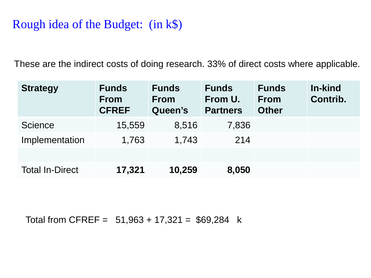### Rough idea of the Budget: (in k\$)

These are the indirect costs of doing research. 33% of direct costs where applicable.

| <b>Strategy</b>        | <b>Funds</b><br><b>From</b><br><b>CFREF</b> | <b>Funds</b><br><b>From</b><br>Queen's | <b>Funds</b><br>From U.<br><b>Partners</b> | <b>Funds</b><br><b>From</b><br><b>Other</b> | In-kind<br>Contrib. |
|------------------------|---------------------------------------------|----------------------------------------|--------------------------------------------|---------------------------------------------|---------------------|
| <b>Science</b>         | 15,559                                      | 8,516                                  | 7,836                                      |                                             |                     |
| Implementation         | 1,763                                       | 1,743                                  | 214                                        |                                             |                     |
|                        |                                             |                                        |                                            |                                             |                     |
| <b>Total In-Direct</b> | 17,321                                      | 10,259                                 | 8,050                                      |                                             |                     |

Total from CFREF =  $51,963 + 17,321 = $69,284$  k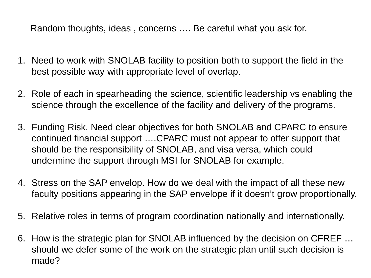Random thoughts, ideas , concerns …. Be careful what you ask for.

- 1. Need to work with SNOLAB facility to position both to support the field in the best possible way with appropriate level of overlap.
- 2. Role of each in spearheading the science, scientific leadership vs enabling the science through the excellence of the facility and delivery of the programs.
- 3. Funding Risk. Need clear objectives for both SNOLAB and CPARC to ensure continued financial support ….CPARC must not appear to offer support that should be the responsibility of SNOLAB, and visa versa, which could undermine the support through MSI for SNOLAB for example.
- 4. Stress on the SAP envelop. How do we deal with the impact of all these new faculty positions appearing in the SAP envelope if it doesn't grow proportionally.
- 5. Relative roles in terms of program coordination nationally and internationally.
- 6. How is the strategic plan for SNOLAB influenced by the decision on CFREF … should we defer some of the work on the strategic plan until such decision is made?